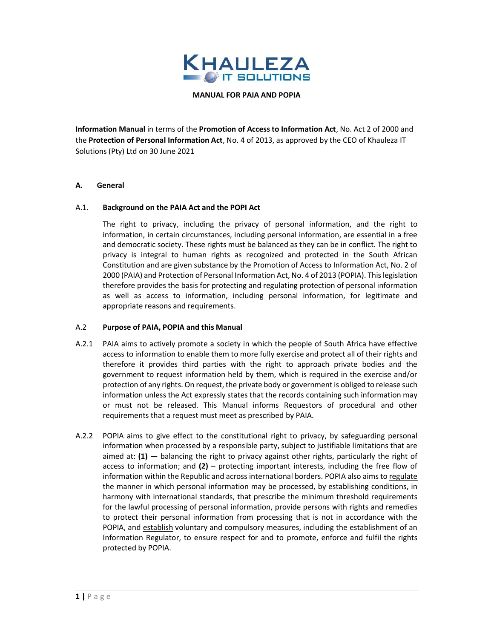

MANUAL FOR PAIA AND POPIA

Information Manual in terms of the Promotion of Access to Information Act, No. Act 2 of 2000 and the Protection of Personal Information Act, No. 4 of 2013, as approved by the CEO of Khauleza IT Solutions (Pty) Ltd on 30 June 2021

## A. General

## A.1. Background on the PAIA Act and the POPI Act

 The right to privacy, including the privacy of personal information, and the right to information, in certain circumstances, including personal information, are essential in a free and democratic society. These rights must be balanced as they can be in conflict. The right to privacy is integral to human rights as recognized and protected in the South African Constitution and are given substance by the Promotion of Access to Information Act, No. 2 of 2000 (PAIA) and Protection of Personal Information Act, No. 4 of 2013 (POPIA). This legislation therefore provides the basis for protecting and regulating protection of personal information as well as access to information, including personal information, for legitimate and appropriate reasons and requirements.

### A.2 Purpose of PAIA, POPIA and this Manual

- A.2.1 PAIA aims to actively promote a society in which the people of South Africa have effective access to information to enable them to more fully exercise and protect all of their rights and therefore it provides third parties with the right to approach private bodies and the government to request information held by them, which is required in the exercise and/or protection of any rights. On request, the private body or government is obliged to release such information unless the Act expressly states that the records containing such information may or must not be released. This Manual informs Requestors of procedural and other requirements that a request must meet as prescribed by PAIA.
- A.2.2 POPIA aims to give effect to the constitutional right to privacy, by safeguarding personal information when processed by a responsible party, subject to justifiable limitations that are aimed at:  $(1)$  — balancing the right to privacy against other rights, particularly the right of access to information; and  $(2)$  – protecting important interests, including the free flow of information within the Republic and across international borders. POPIA also aims to regulate the manner in which personal information may be processed, by establishing conditions, in harmony with international standards, that prescribe the minimum threshold requirements for the lawful processing of personal information, provide persons with rights and remedies to protect their personal information from processing that is not in accordance with the POPIA, and establish voluntary and compulsory measures, including the establishment of an Information Regulator, to ensure respect for and to promote, enforce and fulfil the rights protected by POPIA.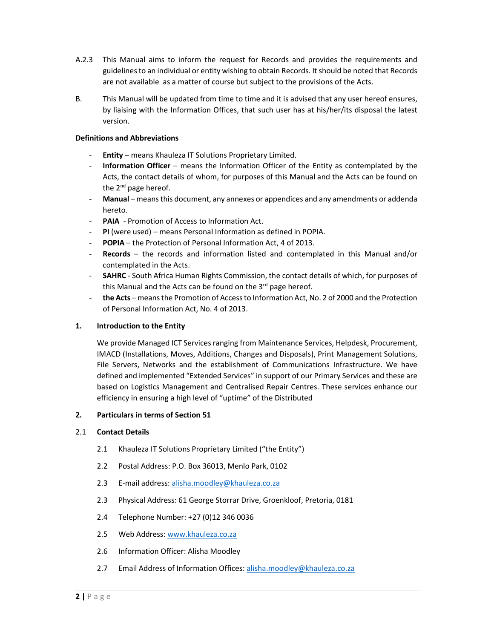- A.2.3 This Manual aims to inform the request for Records and provides the requirements and guidelines to an individual or entity wishing to obtain Records. It should be noted that Records are not available as a matter of course but subject to the provisions of the Acts.
- B. This Manual will be updated from time to time and it is advised that any user hereof ensures, by liaising with the Information Offices, that such user has at his/her/its disposal the latest version.

## Definitions and Abbreviations

- Entity means Khauleza IT Solutions Proprietary Limited.
- Information Officer means the Information Officer of the Entity as contemplated by the Acts, the contact details of whom, for purposes of this Manual and the Acts can be found on the  $2^{nd}$  page hereof.
- Manual means this document, any annexes or appendices and any amendments or addenda hereto.
- PAIA Promotion of Access to Information Act.
- PI (were used) means Personal Information as defined in POPIA.
- POPIA the Protection of Personal Information Act, 4 of 2013.
- $\textbf{Reords}$  the records and information listed and contemplated in this Manual and/or contemplated in the Acts.
- **SAHRC** South Africa Human Rights Commission, the contact details of which, for purposes of this Manual and the Acts can be found on the  $3<sup>rd</sup>$  page hereof.
- the Acts means the Promotion of Access to Information Act, No. 2 of 2000 and the Protection of Personal Information Act, No. 4 of 2013.

### 1. Introduction to the Entity

We provide Managed ICT Services ranging from Maintenance Services, Helpdesk, Procurement, IMACD (Installations, Moves, Additions, Changes and Disposals), Print Management Solutions, File Servers, Networks and the establishment of Communications Infrastructure. We have defined and implemented "Extended Services" in support of our Primary Services and these are based on Logistics Management and Centralised Repair Centres. These services enhance our efficiency in ensuring a high level of "uptime" of the Distributed

### 2. Particulars in terms of Section 51

### 2.1 Contact Details

- 2.1 Khauleza IT Solutions Proprietary Limited ("the Entity")
- 2.2 Postal Address: P.O. Box 36013, Menlo Park, 0102
- 2.3 E-mail address: alisha.moodley@khauleza.co.za
- 2.3 Physical Address: 61 George Storrar Drive, Groenkloof, Pretoria, 0181
- 2.4 Telephone Number: +27 (0)12 346 0036
- 2.5 Web Address: www.khauleza.co.za
- 2.6 Information Officer: Alisha Moodley
- 2.7 Email Address of Information Offices: alisha.moodley@khauleza.co.za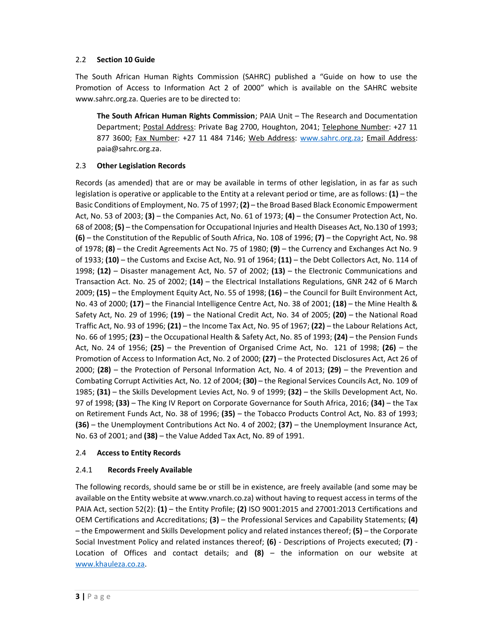# 2.2 Section 10 Guide

The South African Human Rights Commission (SAHRC) published a "Guide on how to use the Promotion of Access to Information Act 2 of 2000" which is available on the SAHRC website www.sahrc.org.za. Queries are to be directed to:

The South African Human Rights Commission; PAIA Unit - The Research and Documentation Department; Postal Address: Private Bag 2700, Houghton, 2041; Telephone Number: +27 11 877 3600; Fax Number: +27 11 484 7146; Web Address: www.sahrc.org.za; Email Address: paia@sahrc.org.za.

# 2.3 Other Legislation Records

Records (as amended) that are or may be available in terms of other legislation, in as far as such legislation is operative or applicable to the Entity at a relevant period or time, are as follows:  $(1)$  – the Basic Conditions of Employment, No. 75 of 1997; (2) – the Broad Based Black Economic Empowerment Act, No. 53 of 2003; (3) – the Companies Act, No. 61 of 1973; (4) – the Consumer Protection Act, No. 68 of 2008; (5) – the Compensation for Occupational Injuries and Health Diseases Act, No.130 of 1993; (6) – the Constitution of the Republic of South Africa, No. 108 of 1996; (7) – the Copyright Act, No. 98 of 1978; (8) – the Credit Agreements Act No. 75 of 1980; (9) – the Currency and Exchanges Act No. 9 of 1933; (10) – the Customs and Excise Act, No. 91 of 1964; (11) – the Debt Collectors Act, No. 114 of 1998;  $(12)$  – Disaster management Act, No. 57 of 2002;  $(13)$  – the Electronic Communications and Transaction Act. No. 25 of 2002; (14) – the Electrical Installations Regulations, GNR 242 of 6 March 2009; (15) – the Employment Equity Act, No. 55 of 1998; (16) – the Council for Built Environment Act, No. 43 of 2000; (17) – the Financial Intelligence Centre Act, No. 38 of 2001; (18) – the Mine Health & Safety Act, No. 29 of 1996; (19) – the National Credit Act, No. 34 of 2005; (20) – the National Road Traffic Act, No. 93 of 1996;  $(21)$  – the Income Tax Act, No. 95 of 1967;  $(22)$  – the Labour Relations Act, No. 66 of 1995; (23) – the Occupational Health & Safety Act, No. 85 of 1993; (24) – the Pension Funds Act, No. 24 of 1956; (25) – the Prevention of Organised Crime Act, No. 121 of 1998; (26) – the Promotion of Access to Information Act, No. 2 of 2000; (27) – the Protected Disclosures Act, Act 26 of 2000;  $(28)$  – the Protection of Personal Information Act, No. 4 of 2013;  $(29)$  – the Prevention and Combating Corrupt Activities Act, No. 12 of 2004; (30) – the Regional Services Councils Act, No. 109 of 1985; (31) – the Skills Development Levies Act, No. 9 of 1999; (32) – the Skills Development Act, No. 97 of 1998; (33) – The King IV Report on Corporate Governance for South Africa, 2016; (34) – the Tax on Retirement Funds Act, No. 38 of 1996; (35) – the Tobacco Products Control Act, No. 83 of 1993; (36) – the Unemployment Contributions Act No. 4 of 2002; (37) – the Unemployment Insurance Act, No. 63 of 2001; and (38) – the Value Added Tax Act, No. 89 of 1991.

# 2.4 Access to Entity Records

# 2.4.1 Records Freely Available

The following records, should same be or still be in existence, are freely available (and some may be available on the Entity website at www.vnarch.co.za) without having to request access in terms of the PAIA Act, section 52(2): (1) – the Entity Profile; (2) ISO 9001:2015 and 27001:2013 Certifications and OEM Certifications and Accreditations; (3) – the Professional Services and Capability Statements; (4) – the Empowerment and Skills Development policy and related instances thereof; (5) – the Corporate Social Investment Policy and related instances thereof; (6) - Descriptions of Projects executed; (7) - Location of Offices and contact details; and  $(8)$  – the information on our website at www.khauleza.co.za.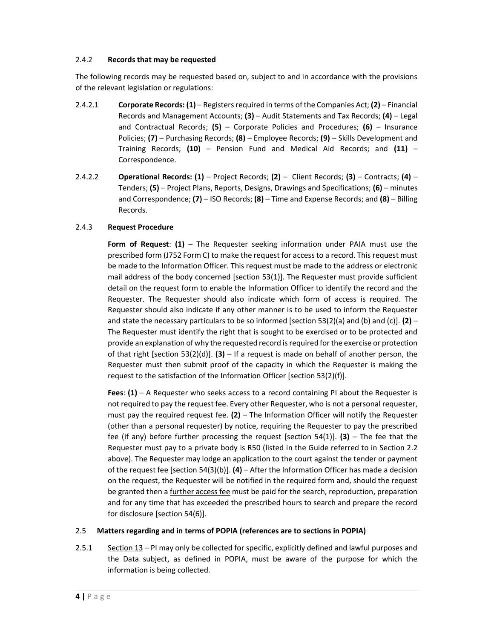## 2.4.2 Records that may be requested

The following records may be requested based on, subject to and in accordance with the provisions of the relevant legislation or regulations:

- 2.4.2.1 Corporate Records:  $(1)$  Registers required in terms of the Companies Act;  $(2)$  Financial Records and Management Accounts; (3) – Audit Statements and Tax Records; (4) – Legal and Contractual Records;  $(5)$  – Corporate Policies and Procedures;  $(6)$  – Insurance Policies;  $(7)$  – Purchasing Records;  $(8)$  – Employee Records;  $(9)$  – Skills Development and Training Records;  $(10)$  – Pension Fund and Medical Aid Records; and  $(11)$  – Correspondence.
- 2.4.2.2 Operational Records:  $(1)$  Project Records;  $(2)$  Client Records;  $(3)$  Contracts;  $(4)$  Tenders; (5) – Project Plans, Reports, Designs, Drawings and Specifications; (6) – minutes and Correspondence;  $(7)$  – ISO Records;  $(8)$  – Time and Expense Records; and  $(8)$  – Billing Records.

## 2.4.3 Request Procedure

Form of Request:  $(1)$  – The Requester seeking information under PAIA must use the prescribed form (J752 Form C) to make the request for access to a record. This request must be made to the Information Officer. This request must be made to the address or electronic mail address of the body concerned [section 53(1)]. The Requester must provide sufficient detail on the request form to enable the Information Officer to identify the record and the Requester. The Requester should also indicate which form of access is required. The Requester should also indicate if any other manner is to be used to inform the Requester and state the necessary particulars to be so informed [section 53(2)(a) and (b) and (c)]. (2) – The Requester must identify the right that is sought to be exercised or to be protected and provide an explanation of why the requested record is required for the exercise or protection of that right [section 53(2)(d)]. (3) – If a request is made on behalf of another person, the Requester must then submit proof of the capacity in which the Requester is making the request to the satisfaction of the Information Officer [section 53(2)(f)].

Fees:  $(1)$  – A Requester who seeks access to a record containing PI about the Requester is not required to pay the request fee. Every other Requester, who is not a personal requester, must pay the required request fee.  $(2)$  – The Information Officer will notify the Requester (other than a personal requester) by notice, requiring the Requester to pay the prescribed fee (if any) before further processing the request [section 54(1)]. (3) – The fee that the Requester must pay to a private body is R50 (listed in the Guide referred to in Section 2.2 above). The Requester may lodge an application to the court against the tender or payment of the request fee [section 54(3)(b)]. (4) – After the Information Officer has made a decision on the request, the Requester will be notified in the required form and, should the request be granted then a further access fee must be paid for the search, reproduction, preparation and for any time that has exceeded the prescribed hours to search and prepare the record for disclosure [section 54(6)].

# 2.5 Matters regarding and in terms of POPIA (references are to sections in POPIA)

2.5.1 Section 13 – PI may only be collected for specific, explicitly defined and lawful purposes and the Data subject, as defined in POPIA, must be aware of the purpose for which the information is being collected.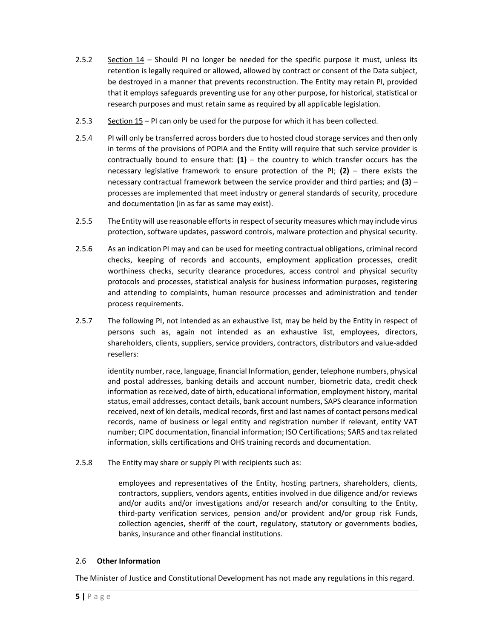- 2.5.2 Section 14 Should PI no longer be needed for the specific purpose it must, unless its retention is legally required or allowed, allowed by contract or consent of the Data subject, be destroyed in a manner that prevents reconstruction. The Entity may retain PI, provided that it employs safeguards preventing use for any other purpose, for historical, statistical or research purposes and must retain same as required by all applicable legislation.
- 2.5.3 Section 15 PI can only be used for the purpose for which it has been collected.
- 2.5.4 PI will only be transferred across borders due to hosted cloud storage services and then only in terms of the provisions of POPIA and the Entity will require that such service provider is contractually bound to ensure that:  $(1)$  – the country to which transfer occurs has the necessary legislative framework to ensure protection of the PI;  $(2)$  – there exists the necessary contractual framework between the service provider and third parties; and (3) – processes are implemented that meet industry or general standards of security, procedure and documentation (in as far as same may exist).
- 2.5.5 The Entity will use reasonable efforts in respect of security measures which may include virus protection, software updates, password controls, malware protection and physical security.
- 2.5.6 As an indication PI may and can be used for meeting contractual obligations, criminal record checks, keeping of records and accounts, employment application processes, credit worthiness checks, security clearance procedures, access control and physical security protocols and processes, statistical analysis for business information purposes, registering and attending to complaints, human resource processes and administration and tender process requirements.
- 2.5.7 The following PI, not intended as an exhaustive list, may be held by the Entity in respect of persons such as, again not intended as an exhaustive list, employees, directors, shareholders, clients, suppliers, service providers, contractors, distributors and value-added resellers:

 identity number, race, language, financial Information, gender, telephone numbers, physical and postal addresses, banking details and account number, biometric data, credit check information as received, date of birth, educational information, employment history, marital status, email addresses, contact details, bank account numbers, SAPS clearance information received, next of kin details, medical records, first and last names of contact persons medical records, name of business or legal entity and registration number if relevant, entity VAT number; CIPC documentation, financial information; ISO Certifications; SARS and tax related information, skills certifications and OHS training records and documentation.

2.5.8 The Entity may share or supply PI with recipients such as:

 employees and representatives of the Entity, hosting partners, shareholders, clients, contractors, suppliers, vendors agents, entities involved in due diligence and/or reviews and/or audits and/or investigations and/or research and/or consulting to the Entity, third-party verification services, pension and/or provident and/or group risk Funds, collection agencies, sheriff of the court, regulatory, statutory or governments bodies, banks, insurance and other financial institutions.

# 2.6 Other Information

The Minister of Justice and Constitutional Development has not made any regulations in this regard.